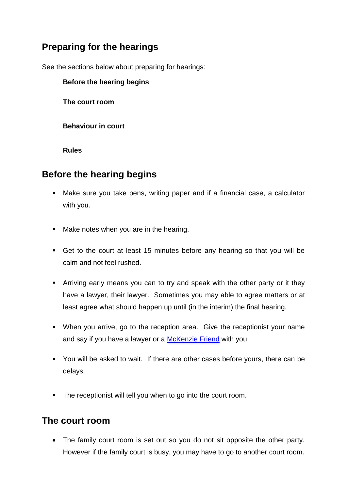# **Preparing for the hearings**

See the sections below about preparing for hearings:

#### **Before the hearing begins**

**The court room** 

**Behaviour in court** 

**Rules** 

### **Before the hearing begins**

- Make sure you take pens, writing paper and if a financial case, a calculator with you.
- **Make notes when you are in the hearing.**
- Get to the court at least 15 minutes before any hearing so that you will be calm and not feel rushed.
- Arriving early means you can to try and speak with the other party or it they have a lawyer, their lawyer. Sometimes you may able to agree matters or at least agree what should happen up until (in the interim) the final hearing.
- When you arrive, go to the reception area. Give the receptionist your name and say if you have a lawyer or a [McKenzie Friend](http://www.gov.je/SiteCollectionDocuments/Life%20events/ID%20JGR-McKenzie%20Friend%202014-01-24%20BJL.pdf) with you.
- You will be asked to wait. If there are other cases before yours, there can be delays.
- **The receptionist will tell you when to go into the court room.**

### **The court room**

 The family court room is set out so you do not sit opposite the other party. However if the family court is busy, you may have to go to another court room.